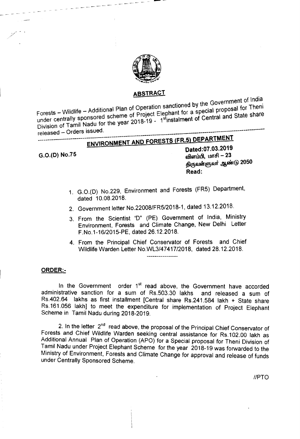

#### ABSTRACT .

 $t_{\rm{enod}}$  by the Government of  $\mu$  and  $\mu$ <sub>itional</sub> Plan of Operation sanctioned by the  $\mu$  proposal for Then! Forests – Wildlife - Additional scheme of Project Elephant for a special  $P^{\text{max}}$  and State share under centrally sponsored scheme of Project Elephant for a special proposal for Theni  $\mathsf{Division}$  of Tamil Nadu for the year zone is a second to  $\mathsf{�}$ released - Orders issued. ------------

## ENVIRONMENT AND FORESTS (FR.5) DEPARTMENT

. ,

Dated:07.03.2019 G.O.(D) No.75 6D\mwt5l, UlIT6I - 23 திருவள்ளுவர் ஆண்டு 2050 Read:

- 1. G.O.(D) No.229, Environment and Forests (FR5) Department, dated 10.08.2018.
- 2. Government letter *NO.22008/FR5/2018-1,* dated 13.12.2018.
- 3. From the Scientist 'D" (PE) Government of India, Ministry Environment, Forests and Climate Change, New Delhi Letter F.No.1-16/2015-PE, dated 26.12.2018.
- 4. From the Principal Chief Conservator of Forests and Chief Wildlife Warden Letter NO.WL3/47417/2018, dated 28.12.2018.

#### ORDER:-

In the Government order 1<sup>st</sup> read above, the Government have accorded administrative sanction for a sum of RS.503.30 lakhs and released a sum of Rs.402.64 lakhs as first installment [Central share RS.241.584 lakh + State share RS.161.056 lakh] to meet the expenditure for implementation of Project Elephant Scheme in Tamil Nadu during 2018-2019.

2. In the letter  $2<sup>nd</sup>$  read above, the proposal of the Principal Chief Conservator of Forests and Chief Wildlife Warden seeking central assistance for RS.102.00 lakh as Additional Annual Plan of Operation (APO) for a Special proposal for Then; Division of Tamil Nadu under Project Elephant Scheme for the year 2018-19 was forwarded to the Ministry of Environment, Forests and Climate Change for approval and release of funds under Centrally Sponsored Scheme.

//PTO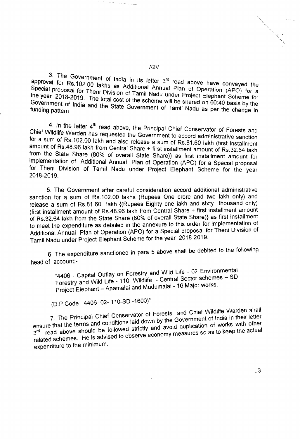3. The Government of India in its letter  $3<sup>rd</sup>$  read above have conveyed the approval for Rs.102.00 lakes as A time IS letter  $3<sup>6</sup>$  read above have  $\frac{3}{2}$ Pecial proposal for Theni Division of Tamil Nadia Plan or Operation (APO) for a Special proposal for Theni Division of Tamil Nadu under Project Elephant Scheme for the year 2018-2019. The total cost of the scheme will be shared on 60:40 basis by the Government of India and the State Government of Tamil Nadu as per the change in

4. In the letter  $4<sup>th</sup>$  read above, the Principal Chief Conservator of Forests and Chief Wildlife Warden has requested the Children Chief Conservator of Forests and for a sum of Rs 102.00 lakh and also we Government to accord administrative sanction amount of Rs.48.96 lakh from Control Share + first installment of Rs.81.60 lakh (first installment  $\frac{1}{2}$  for  $\frac{1}{2}$  are  $\frac{1}{2}$  from  $\frac{1}{2}$  central Share + first installment amount of Rs.32.64 lakh from the State Share (80% of overall State Share)) as first installment amount for implementation of Additional Annual Plan of Operation (APO) for a Special proposal for Theni Division of Tamil Nadu under Project Elephant Scheme for the year 2018-2019.

5. The Government after careful consideration accord additional administrative sanction for a sum of RS.102.00 lakhs (Rupees One crore and two lakh only) and release a sum of RS.81.60 lakh {(Rupees Eighty one lakh and sixty thousand only) (first installment amount of Rs.48.96 lakh from Central Share + first installment amount of RS.32.64 lakh from the State Share (80% of overall State Share)} as first installment to meet the expenditure as detailed in the annexure to this order for implementation of Additional Annual Plan of Operation (APO) for a Special proposal for Theni Division of Tamil Nadu under Project Elephant Scheme for the year 2018-2019.

6. The expenditure sanctioned in para 5 above shall be debited to the following head of account;-

> "4406 \_ Capital Outlay on Forestry and Wild Life - 02 Environmental Forestry and Wild Life - 110 Wildlife - Central Sector schemes - SD Project Elephant - Anamalai and Mudumalai - 16 Major works.

(D.p.Code. 4406- 02- 110-S0 -1600)"

7. The Principal Chief Conservator of Forests and Chief Wildlife Warden shall ensure that the terms and conditions laid down by the Government of India in their letter  $3<sup>rd</sup>$  read above should be followed strictly and avoid duplication of works with other related schemes. He is advised to observe economy measures so as to keep the actual expenditure to the minimum.

//2//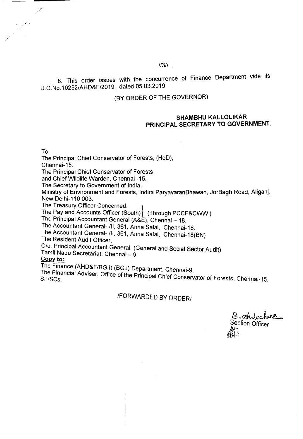#### *11311*

8. This order issues with the concurrence of Finance Department vide its U 0.No.10252/AHD&F/2019, dated 05.03.2019

#### (BY ORDER OF THE GOVERNOR)

#### SHAMBHU KALLOLIKAR PRINCIPAL SECRETARY TO GOVERNMENT.

To

The Principal Chief Conservator of Forests, (HoD),

Chennai-15.

The Principal Chief Conservator of Forests

and Chief Wildlife Warden, Chennai -15.

The Secretary to Government of India,

Ministry of Environment and Forests. Indira ParyavaranBhawan, JorBagh Road, Ahganj, New Delhi-110 003.

The Treasury Officer Concerned. 1

The Pay and Accounts Officer (South) (Through PCCF&CWW)

The Principal Accountant General (A&E), Chennai - 18.

The Accountant General-I/II, 361, Anna Salai, Chennai-18.

The Accountant General-I/II, 361, Anna Salai, Chennai-18(BN)

The Resident Audit Officer,

0/0. Principal Accountant General, (General and Social Sector Audit)

Tamil Nadu Secretariat, Chennai - 9.

#### Copy *to:*

The Finance (AHD&F/BGII) (BG.I) Department, Chennai-9.

The Financial Adviser, Office of the Principal Chief Conservator of Forests, Chennai-15.

## IFORWARDED BY ORDER/

B. Shitchange Section Officer ~~